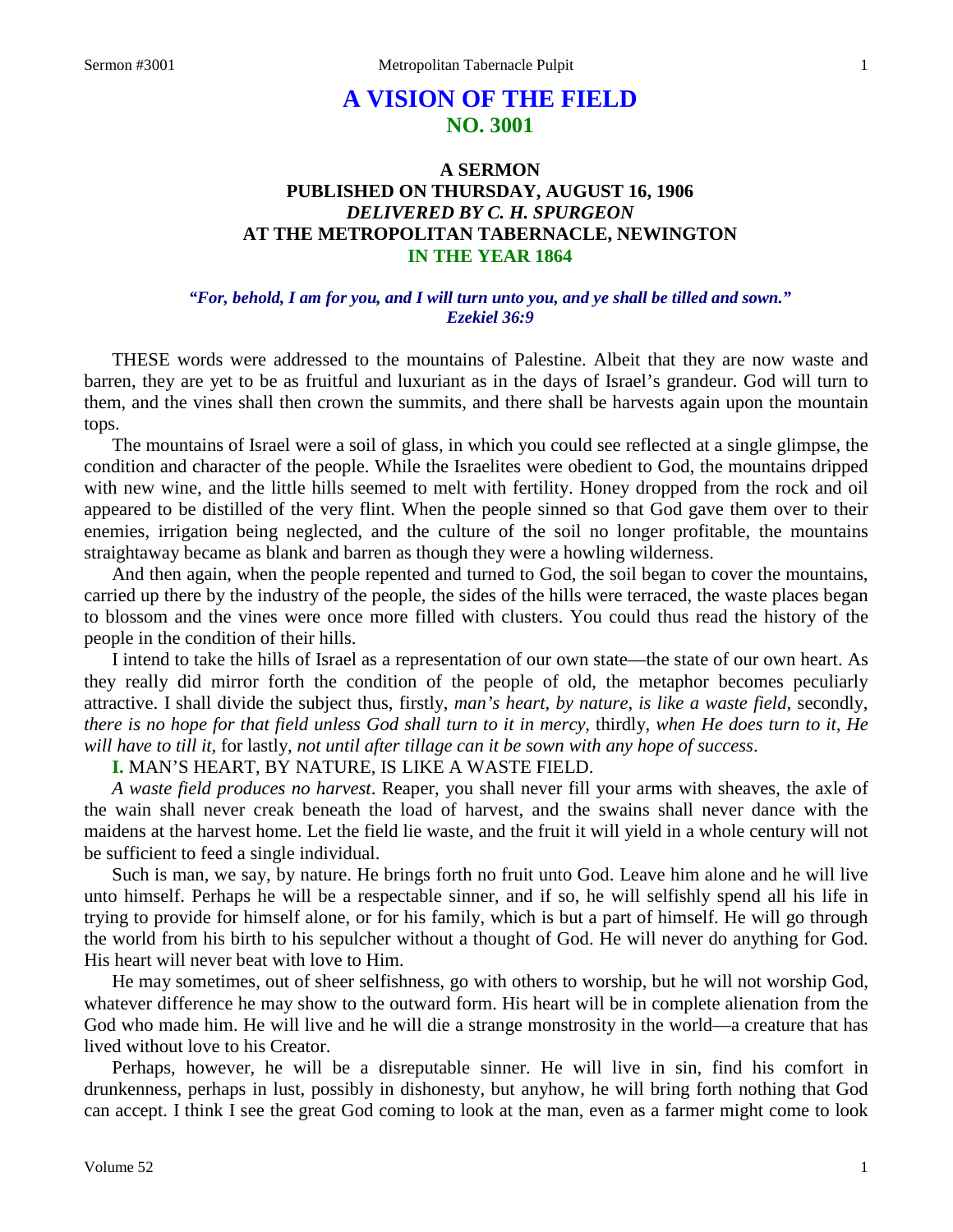# **A VISION OF THE FIELD NO. 3001**

# **A SERMON PUBLISHED ON THURSDAY, AUGUST 16, 1906** *DELIVERED BY C. H. SPURGEON* **AT THE METROPOLITAN TABERNACLE, NEWINGTON IN THE YEAR 1864**

### *"For, behold, I am for you, and I will turn unto you, and ye shall be tilled and sown." Ezekiel 36:9*

THESE words were addressed to the mountains of Palestine. Albeit that they are now waste and barren, they are yet to be as fruitful and luxuriant as in the days of Israel's grandeur. God will turn to them, and the vines shall then crown the summits, and there shall be harvests again upon the mountain tops.

The mountains of Israel were a soil of glass, in which you could see reflected at a single glimpse, the condition and character of the people. While the Israelites were obedient to God, the mountains dripped with new wine, and the little hills seemed to melt with fertility. Honey dropped from the rock and oil appeared to be distilled of the very flint. When the people sinned so that God gave them over to their enemies, irrigation being neglected, and the culture of the soil no longer profitable, the mountains straightaway became as blank and barren as though they were a howling wilderness.

And then again, when the people repented and turned to God, the soil began to cover the mountains, carried up there by the industry of the people, the sides of the hills were terraced, the waste places began to blossom and the vines were once more filled with clusters. You could thus read the history of the people in the condition of their hills.

I intend to take the hills of Israel as a representation of our own state—the state of our own heart. As they really did mirror forth the condition of the people of old, the metaphor becomes peculiarly attractive. I shall divide the subject thus, firstly, *man's heart, by nature, is like a waste field,* secondly, *there is no hope for that field unless God shall turn to it in mercy,* thirdly, *when He does turn to it, He will have to till it,* for lastly, *not until after tillage can it be sown with any hope of success*.

# **I.** MAN'S HEART, BY NATURE, IS LIKE A WASTE FIELD.

*A waste field produces no harvest*. Reaper, you shall never fill your arms with sheaves, the axle of the wain shall never creak beneath the load of harvest, and the swains shall never dance with the maidens at the harvest home. Let the field lie waste, and the fruit it will yield in a whole century will not be sufficient to feed a single individual.

Such is man, we say, by nature. He brings forth no fruit unto God. Leave him alone and he will live unto himself. Perhaps he will be a respectable sinner, and if so, he will selfishly spend all his life in trying to provide for himself alone, or for his family, which is but a part of himself. He will go through the world from his birth to his sepulcher without a thought of God. He will never do anything for God. His heart will never beat with love to Him.

He may sometimes, out of sheer selfishness, go with others to worship, but he will not worship God, whatever difference he may show to the outward form. His heart will be in complete alienation from the God who made him. He will live and he will die a strange monstrosity in the world—a creature that has lived without love to his Creator.

Perhaps, however, he will be a disreputable sinner. He will live in sin, find his comfort in drunkenness, perhaps in lust, possibly in dishonesty, but anyhow, he will bring forth nothing that God can accept. I think I see the great God coming to look at the man, even as a farmer might come to look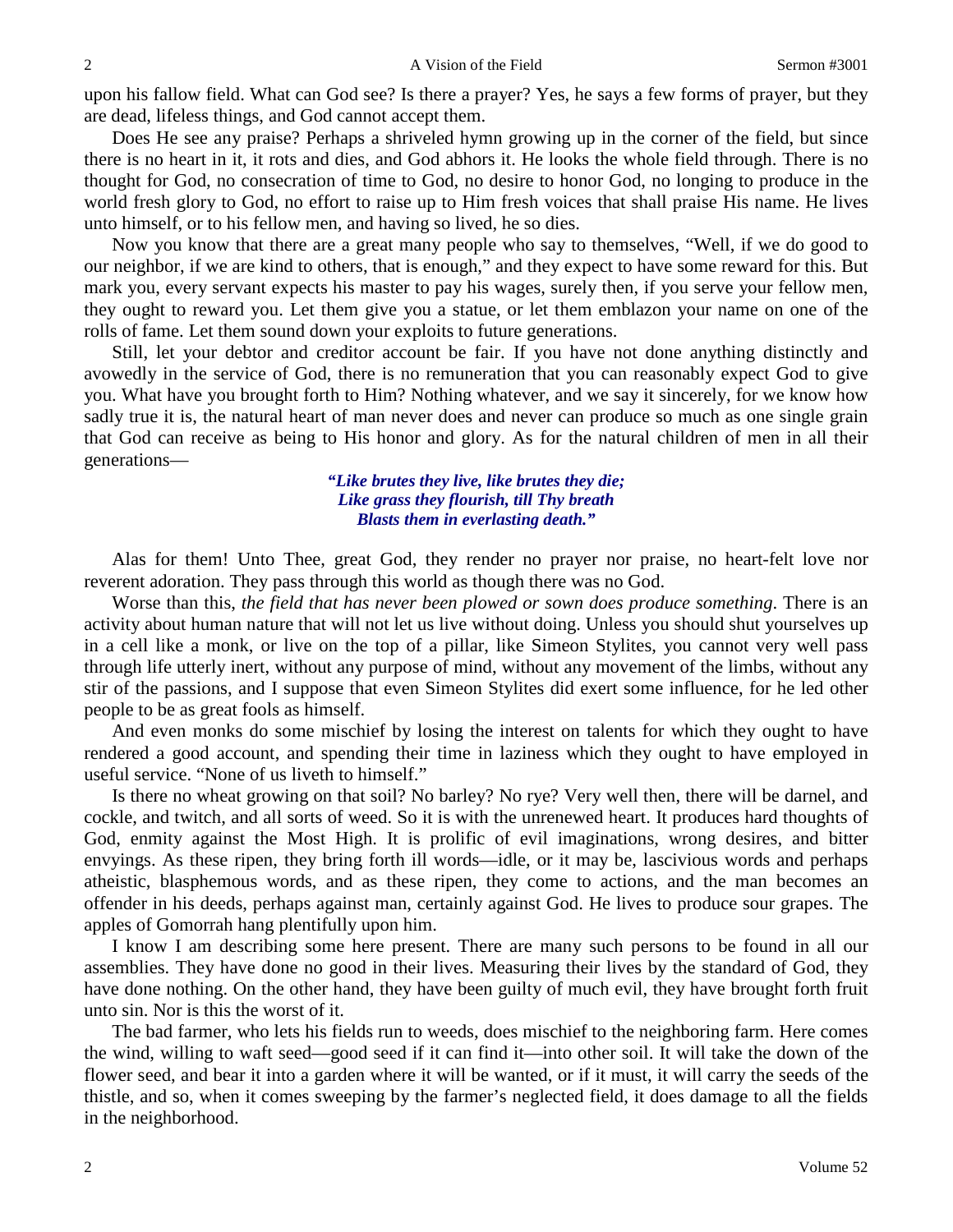upon his fallow field. What can God see? Is there a prayer? Yes, he says a few forms of prayer, but they are dead, lifeless things, and God cannot accept them.

Does He see any praise? Perhaps a shriveled hymn growing up in the corner of the field, but since there is no heart in it, it rots and dies, and God abhors it. He looks the whole field through. There is no thought for God, no consecration of time to God, no desire to honor God, no longing to produce in the world fresh glory to God, no effort to raise up to Him fresh voices that shall praise His name. He lives unto himself, or to his fellow men, and having so lived, he so dies.

Now you know that there are a great many people who say to themselves, "Well, if we do good to our neighbor, if we are kind to others, that is enough," and they expect to have some reward for this. But mark you, every servant expects his master to pay his wages, surely then, if you serve your fellow men, they ought to reward you. Let them give you a statue, or let them emblazon your name on one of the rolls of fame. Let them sound down your exploits to future generations.

Still, let your debtor and creditor account be fair. If you have not done anything distinctly and avowedly in the service of God, there is no remuneration that you can reasonably expect God to give you. What have you brought forth to Him? Nothing whatever, and we say it sincerely, for we know how sadly true it is, the natural heart of man never does and never can produce so much as one single grain that God can receive as being to His honor and glory. As for the natural children of men in all their generations—

> *"Like brutes they live, like brutes they die; Like grass they flourish, till Thy breath Blasts them in everlasting death."*

Alas for them! Unto Thee, great God, they render no prayer nor praise, no heart-felt love nor reverent adoration. They pass through this world as though there was no God.

Worse than this, *the field that has never been plowed or sown does produce something*. There is an activity about human nature that will not let us live without doing. Unless you should shut yourselves up in a cell like a monk, or live on the top of a pillar, like Simeon Stylites, you cannot very well pass through life utterly inert, without any purpose of mind, without any movement of the limbs, without any stir of the passions, and I suppose that even Simeon Stylites did exert some influence, for he led other people to be as great fools as himself.

And even monks do some mischief by losing the interest on talents for which they ought to have rendered a good account, and spending their time in laziness which they ought to have employed in useful service. "None of us liveth to himself."

Is there no wheat growing on that soil? No barley? No rye? Very well then, there will be darnel, and cockle, and twitch, and all sorts of weed. So it is with the unrenewed heart. It produces hard thoughts of God, enmity against the Most High. It is prolific of evil imaginations, wrong desires, and bitter envyings. As these ripen, they bring forth ill words—idle, or it may be, lascivious words and perhaps atheistic, blasphemous words, and as these ripen, they come to actions, and the man becomes an offender in his deeds, perhaps against man, certainly against God. He lives to produce sour grapes. The apples of Gomorrah hang plentifully upon him.

I know I am describing some here present. There are many such persons to be found in all our assemblies. They have done no good in their lives. Measuring their lives by the standard of God, they have done nothing. On the other hand, they have been guilty of much evil, they have brought forth fruit unto sin. Nor is this the worst of it.

The bad farmer, who lets his fields run to weeds, does mischief to the neighboring farm. Here comes the wind, willing to waft seed—good seed if it can find it—into other soil. It will take the down of the flower seed, and bear it into a garden where it will be wanted, or if it must, it will carry the seeds of the thistle, and so, when it comes sweeping by the farmer's neglected field, it does damage to all the fields in the neighborhood.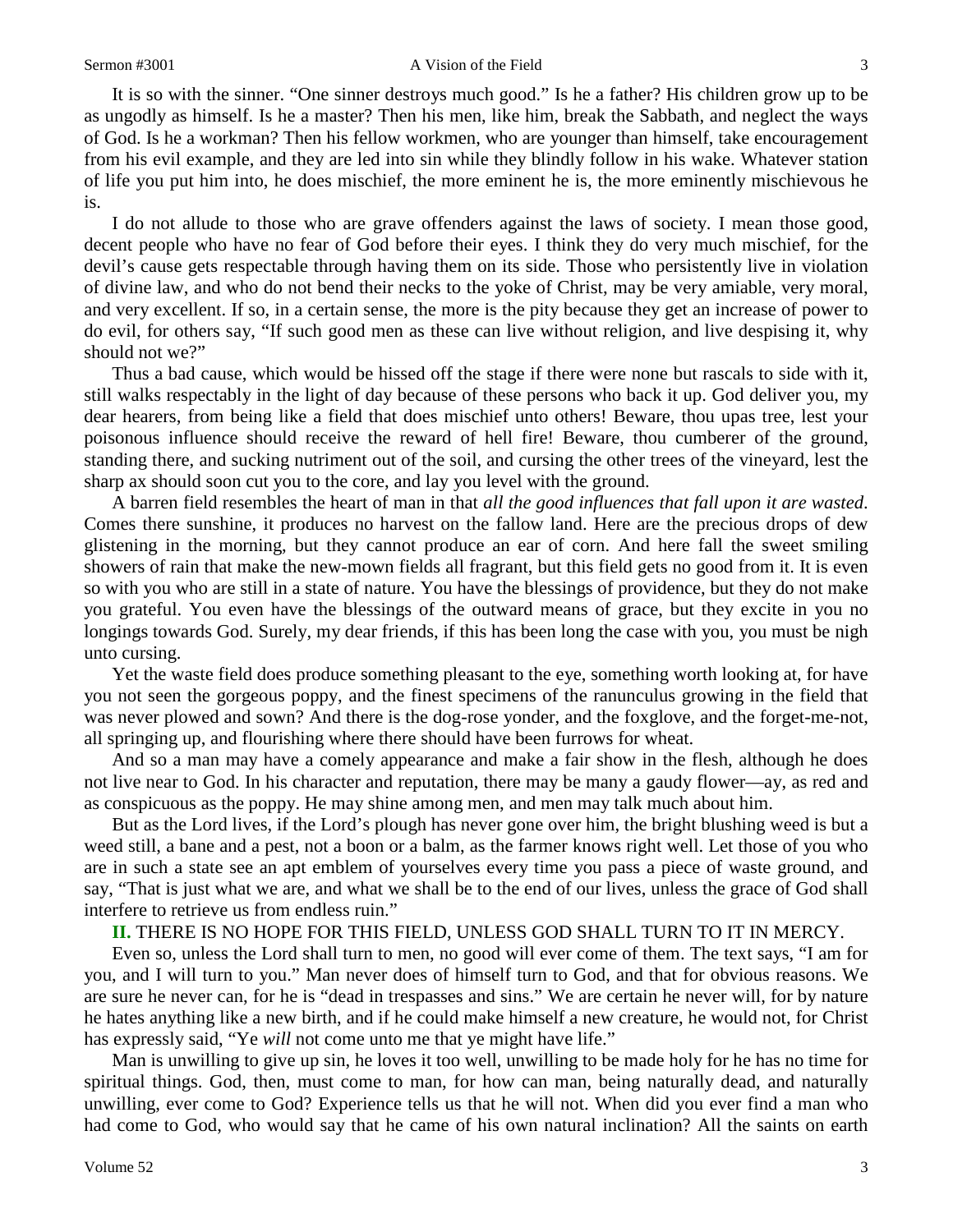It is so with the sinner. "One sinner destroys much good." Is he a father? His children grow up to be as ungodly as himself. Is he a master? Then his men, like him, break the Sabbath, and neglect the ways of God. Is he a workman? Then his fellow workmen, who are younger than himself, take encouragement from his evil example, and they are led into sin while they blindly follow in his wake. Whatever station of life you put him into, he does mischief, the more eminent he is, the more eminently mischievous he is.

I do not allude to those who are grave offenders against the laws of society. I mean those good, decent people who have no fear of God before their eyes. I think they do very much mischief, for the devil's cause gets respectable through having them on its side. Those who persistently live in violation of divine law, and who do not bend their necks to the yoke of Christ, may be very amiable, very moral, and very excellent. If so, in a certain sense, the more is the pity because they get an increase of power to do evil, for others say, "If such good men as these can live without religion, and live despising it, why should not we?"

Thus a bad cause, which would be hissed off the stage if there were none but rascals to side with it, still walks respectably in the light of day because of these persons who back it up. God deliver you, my dear hearers, from being like a field that does mischief unto others! Beware, thou upas tree, lest your poisonous influence should receive the reward of hell fire! Beware, thou cumberer of the ground, standing there, and sucking nutriment out of the soil, and cursing the other trees of the vineyard, lest the sharp ax should soon cut you to the core, and lay you level with the ground.

A barren field resembles the heart of man in that *all the good influences that fall upon it are wasted*. Comes there sunshine, it produces no harvest on the fallow land. Here are the precious drops of dew glistening in the morning, but they cannot produce an ear of corn. And here fall the sweet smiling showers of rain that make the new-mown fields all fragrant, but this field gets no good from it. It is even so with you who are still in a state of nature. You have the blessings of providence, but they do not make you grateful. You even have the blessings of the outward means of grace, but they excite in you no longings towards God. Surely, my dear friends, if this has been long the case with you, you must be nigh unto cursing.

Yet the waste field does produce something pleasant to the eye, something worth looking at, for have you not seen the gorgeous poppy, and the finest specimens of the ranunculus growing in the field that was never plowed and sown? And there is the dog-rose yonder, and the foxglove, and the forget-me-not, all springing up, and flourishing where there should have been furrows for wheat.

And so a man may have a comely appearance and make a fair show in the flesh, although he does not live near to God. In his character and reputation, there may be many a gaudy flower—ay, as red and as conspicuous as the poppy. He may shine among men, and men may talk much about him.

But as the Lord lives, if the Lord's plough has never gone over him, the bright blushing weed is but a weed still, a bane and a pest, not a boon or a balm, as the farmer knows right well. Let those of you who are in such a state see an apt emblem of yourselves every time you pass a piece of waste ground, and say, "That is just what we are, and what we shall be to the end of our lives, unless the grace of God shall interfere to retrieve us from endless ruin."

### **II.** THERE IS NO HOPE FOR THIS FIELD, UNLESS GOD SHALL TURN TO IT IN MERCY.

Even so, unless the Lord shall turn to men, no good will ever come of them. The text says, "I am for you, and I will turn to you." Man never does of himself turn to God, and that for obvious reasons. We are sure he never can, for he is "dead in trespasses and sins." We are certain he never will, for by nature he hates anything like a new birth, and if he could make himself a new creature, he would not, for Christ has expressly said, "Ye *will* not come unto me that ye might have life."

Man is unwilling to give up sin, he loves it too well, unwilling to be made holy for he has no time for spiritual things. God, then, must come to man, for how can man, being naturally dead, and naturally unwilling, ever come to God? Experience tells us that he will not. When did you ever find a man who had come to God, who would say that he came of his own natural inclination? All the saints on earth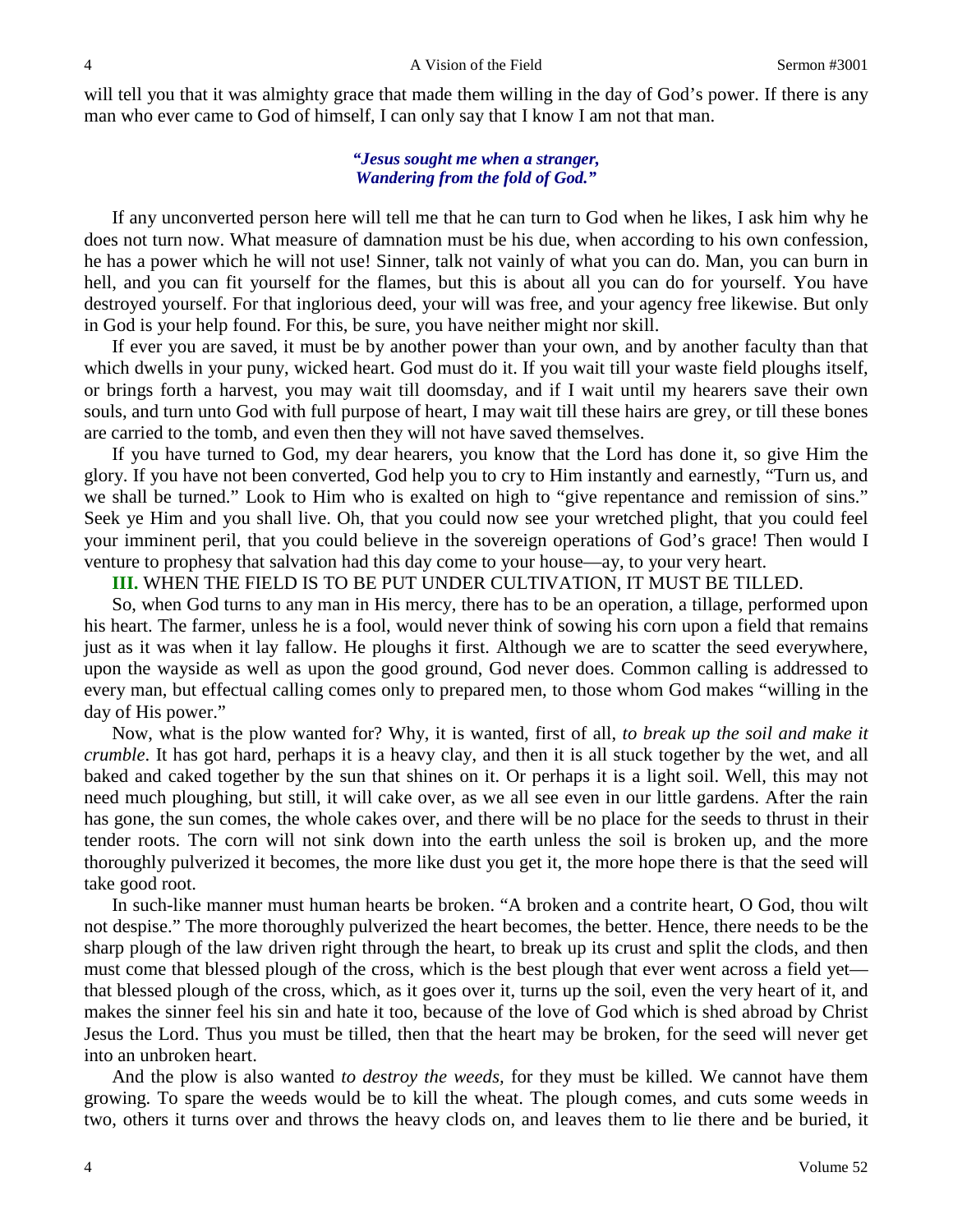will tell you that it was almighty grace that made them willing in the day of God's power. If there is any man who ever came to God of himself, I can only say that I know I am not that man.

### *"Jesus sought me when a stranger, Wandering from the fold of God."*

If any unconverted person here will tell me that he can turn to God when he likes, I ask him why he does not turn now. What measure of damnation must be his due, when according to his own confession, he has a power which he will not use! Sinner, talk not vainly of what you can do. Man, you can burn in hell, and you can fit yourself for the flames, but this is about all you can do for yourself. You have destroyed yourself. For that inglorious deed, your will was free, and your agency free likewise. But only in God is your help found. For this, be sure, you have neither might nor skill.

If ever you are saved, it must be by another power than your own, and by another faculty than that which dwells in your puny, wicked heart. God must do it. If you wait till your waste field ploughs itself, or brings forth a harvest, you may wait till doomsday, and if I wait until my hearers save their own souls, and turn unto God with full purpose of heart, I may wait till these hairs are grey, or till these bones are carried to the tomb, and even then they will not have saved themselves.

If you have turned to God, my dear hearers, you know that the Lord has done it, so give Him the glory. If you have not been converted, God help you to cry to Him instantly and earnestly, "Turn us, and we shall be turned." Look to Him who is exalted on high to "give repentance and remission of sins." Seek ye Him and you shall live. Oh, that you could now see your wretched plight, that you could feel your imminent peril, that you could believe in the sovereign operations of God's grace! Then would I venture to prophesy that salvation had this day come to your house—ay, to your very heart.

#### **III.** WHEN THE FIELD IS TO BE PUT UNDER CULTIVATION, IT MUST BE TILLED.

So, when God turns to any man in His mercy, there has to be an operation, a tillage, performed upon his heart. The farmer, unless he is a fool, would never think of sowing his corn upon a field that remains just as it was when it lay fallow. He ploughs it first. Although we are to scatter the seed everywhere, upon the wayside as well as upon the good ground, God never does. Common calling is addressed to every man, but effectual calling comes only to prepared men, to those whom God makes "willing in the day of His power."

Now, what is the plow wanted for? Why, it is wanted, first of all, *to break up the soil and make it crumble*. It has got hard, perhaps it is a heavy clay, and then it is all stuck together by the wet, and all baked and caked together by the sun that shines on it. Or perhaps it is a light soil. Well, this may not need much ploughing, but still, it will cake over, as we all see even in our little gardens. After the rain has gone, the sun comes, the whole cakes over, and there will be no place for the seeds to thrust in their tender roots. The corn will not sink down into the earth unless the soil is broken up, and the more thoroughly pulverized it becomes, the more like dust you get it, the more hope there is that the seed will take good root.

In such-like manner must human hearts be broken. "A broken and a contrite heart, O God, thou wilt not despise." The more thoroughly pulverized the heart becomes, the better. Hence, there needs to be the sharp plough of the law driven right through the heart, to break up its crust and split the clods, and then must come that blessed plough of the cross, which is the best plough that ever went across a field yet that blessed plough of the cross, which, as it goes over it, turns up the soil, even the very heart of it, and makes the sinner feel his sin and hate it too, because of the love of God which is shed abroad by Christ Jesus the Lord. Thus you must be tilled, then that the heart may be broken, for the seed will never get into an unbroken heart.

And the plow is also wanted *to destroy the weeds,* for they must be killed. We cannot have them growing. To spare the weeds would be to kill the wheat. The plough comes, and cuts some weeds in two, others it turns over and throws the heavy clods on, and leaves them to lie there and be buried, it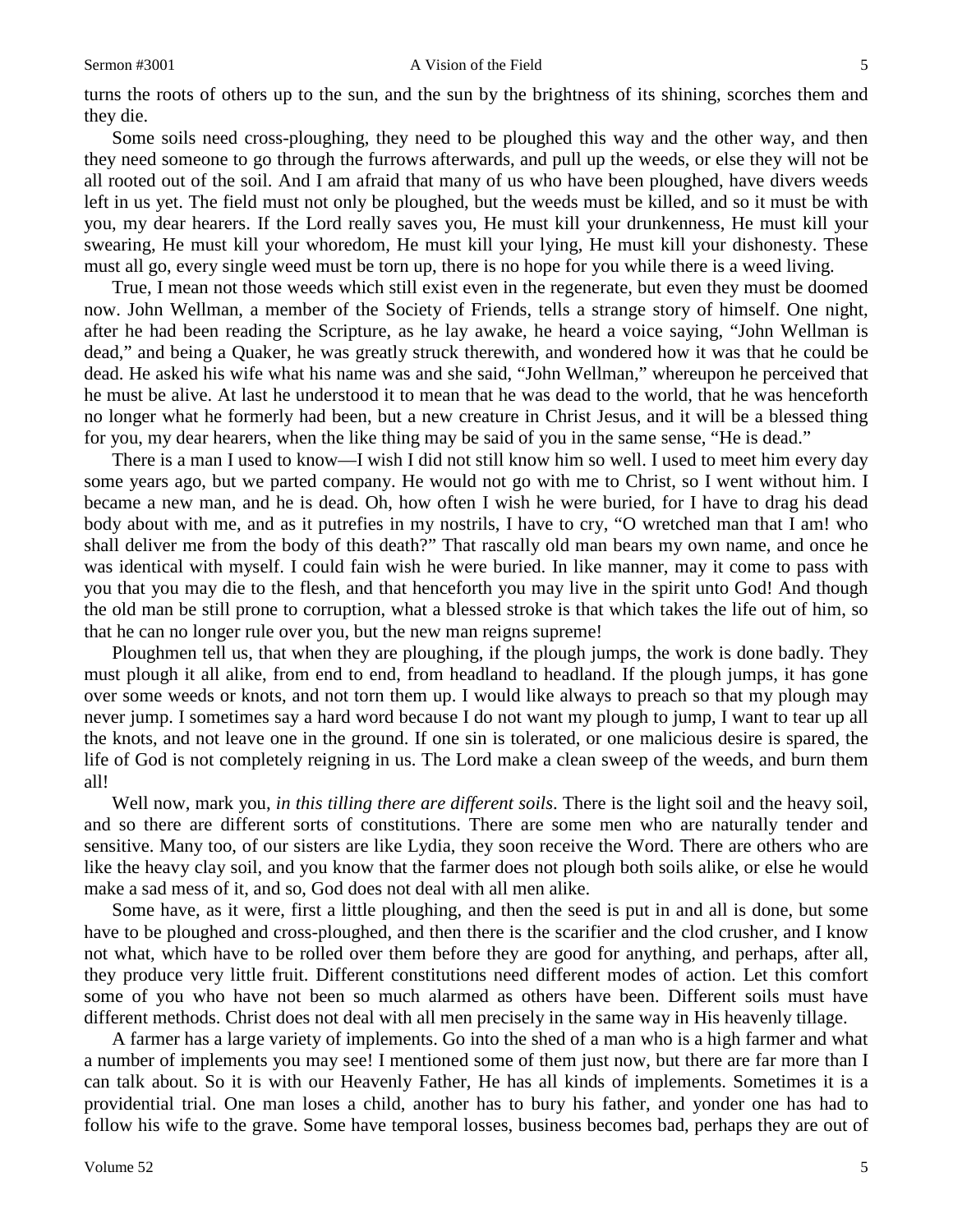#### Sermon #3001 **A** Vision of the Field 5

turns the roots of others up to the sun, and the sun by the brightness of its shining, scorches them and they die.

Some soils need cross-ploughing, they need to be ploughed this way and the other way, and then they need someone to go through the furrows afterwards, and pull up the weeds, or else they will not be all rooted out of the soil. And I am afraid that many of us who have been ploughed, have divers weeds left in us yet. The field must not only be ploughed, but the weeds must be killed, and so it must be with you, my dear hearers. If the Lord really saves you, He must kill your drunkenness, He must kill your swearing, He must kill your whoredom, He must kill your lying, He must kill your dishonesty. These must all go, every single weed must be torn up, there is no hope for you while there is a weed living.

True, I mean not those weeds which still exist even in the regenerate, but even they must be doomed now. John Wellman, a member of the Society of Friends, tells a strange story of himself. One night, after he had been reading the Scripture, as he lay awake, he heard a voice saying, "John Wellman is dead," and being a Quaker, he was greatly struck therewith, and wondered how it was that he could be dead. He asked his wife what his name was and she said, "John Wellman," whereupon he perceived that he must be alive. At last he understood it to mean that he was dead to the world, that he was henceforth no longer what he formerly had been, but a new creature in Christ Jesus, and it will be a blessed thing for you, my dear hearers, when the like thing may be said of you in the same sense, "He is dead."

There is a man I used to know—I wish I did not still know him so well. I used to meet him every day some years ago, but we parted company. He would not go with me to Christ, so I went without him. I became a new man, and he is dead. Oh, how often I wish he were buried, for I have to drag his dead body about with me, and as it putrefies in my nostrils, I have to cry, "O wretched man that I am! who shall deliver me from the body of this death?" That rascally old man bears my own name, and once he was identical with myself. I could fain wish he were buried. In like manner, may it come to pass with you that you may die to the flesh, and that henceforth you may live in the spirit unto God! And though the old man be still prone to corruption, what a blessed stroke is that which takes the life out of him, so that he can no longer rule over you, but the new man reigns supreme!

Ploughmen tell us, that when they are ploughing, if the plough jumps, the work is done badly. They must plough it all alike, from end to end, from headland to headland. If the plough jumps, it has gone over some weeds or knots, and not torn them up. I would like always to preach so that my plough may never jump. I sometimes say a hard word because I do not want my plough to jump, I want to tear up all the knots, and not leave one in the ground. If one sin is tolerated, or one malicious desire is spared, the life of God is not completely reigning in us. The Lord make a clean sweep of the weeds, and burn them all!

Well now, mark you, *in this tilling there are different soils*. There is the light soil and the heavy soil, and so there are different sorts of constitutions. There are some men who are naturally tender and sensitive. Many too, of our sisters are like Lydia, they soon receive the Word. There are others who are like the heavy clay soil, and you know that the farmer does not plough both soils alike, or else he would make a sad mess of it, and so, God does not deal with all men alike.

Some have, as it were, first a little ploughing, and then the seed is put in and all is done, but some have to be ploughed and cross-ploughed, and then there is the scarifier and the clod crusher, and I know not what, which have to be rolled over them before they are good for anything, and perhaps, after all, they produce very little fruit. Different constitutions need different modes of action. Let this comfort some of you who have not been so much alarmed as others have been. Different soils must have different methods. Christ does not deal with all men precisely in the same way in His heavenly tillage.

A farmer has a large variety of implements. Go into the shed of a man who is a high farmer and what a number of implements you may see! I mentioned some of them just now, but there are far more than I can talk about. So it is with our Heavenly Father, He has all kinds of implements. Sometimes it is a providential trial. One man loses a child, another has to bury his father, and yonder one has had to follow his wife to the grave. Some have temporal losses, business becomes bad, perhaps they are out of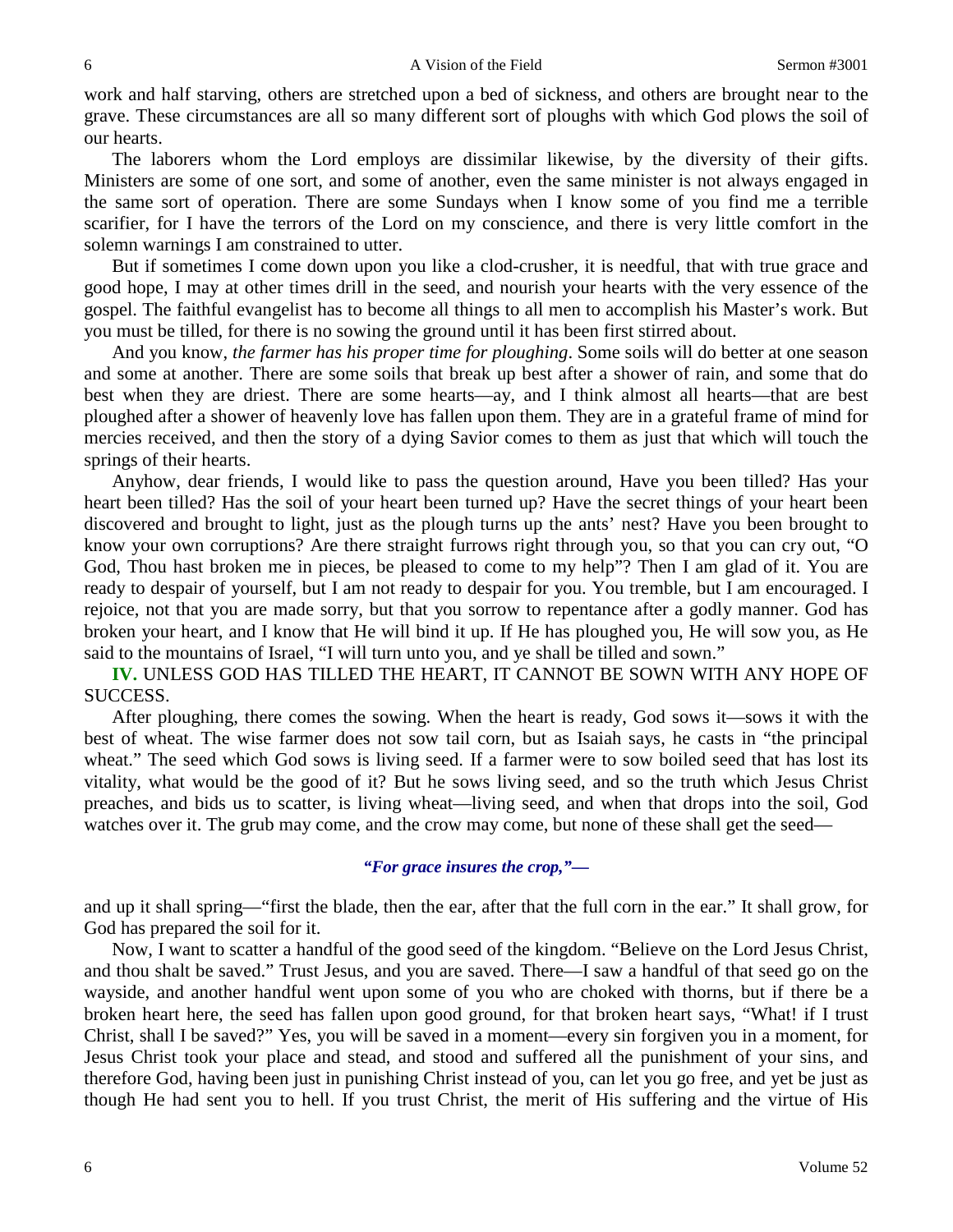work and half starving, others are stretched upon a bed of sickness, and others are brought near to the grave. These circumstances are all so many different sort of ploughs with which God plows the soil of our hearts.

The laborers whom the Lord employs are dissimilar likewise, by the diversity of their gifts. Ministers are some of one sort, and some of another, even the same minister is not always engaged in the same sort of operation. There are some Sundays when I know some of you find me a terrible scarifier, for I have the terrors of the Lord on my conscience, and there is very little comfort in the solemn warnings I am constrained to utter.

But if sometimes I come down upon you like a clod-crusher, it is needful, that with true grace and good hope, I may at other times drill in the seed, and nourish your hearts with the very essence of the gospel. The faithful evangelist has to become all things to all men to accomplish his Master's work. But you must be tilled, for there is no sowing the ground until it has been first stirred about.

And you know, *the farmer has his proper time for ploughing*. Some soils will do better at one season and some at another. There are some soils that break up best after a shower of rain, and some that do best when they are driest. There are some hearts—ay, and I think almost all hearts—that are best ploughed after a shower of heavenly love has fallen upon them. They are in a grateful frame of mind for mercies received, and then the story of a dying Savior comes to them as just that which will touch the springs of their hearts.

Anyhow, dear friends, I would like to pass the question around, Have you been tilled? Has your heart been tilled? Has the soil of your heart been turned up? Have the secret things of your heart been discovered and brought to light, just as the plough turns up the ants' nest? Have you been brought to know your own corruptions? Are there straight furrows right through you, so that you can cry out, "O God, Thou hast broken me in pieces, be pleased to come to my help"? Then I am glad of it. You are ready to despair of yourself, but I am not ready to despair for you. You tremble, but I am encouraged. I rejoice, not that you are made sorry, but that you sorrow to repentance after a godly manner. God has broken your heart, and I know that He will bind it up. If He has ploughed you, He will sow you, as He said to the mountains of Israel, "I will turn unto you, and ye shall be tilled and sown."

**IV.** UNLESS GOD HAS TILLED THE HEART, IT CANNOT BE SOWN WITH ANY HOPE OF SUCCESS.

After ploughing, there comes the sowing. When the heart is ready, God sows it—sows it with the best of wheat. The wise farmer does not sow tail corn, but as Isaiah says, he casts in "the principal wheat." The seed which God sows is living seed. If a farmer were to sow boiled seed that has lost its vitality, what would be the good of it? But he sows living seed, and so the truth which Jesus Christ preaches, and bids us to scatter, is living wheat—living seed, and when that drops into the soil, God watches over it. The grub may come, and the crow may come, but none of these shall get the seed—

### *"For grace insures the crop,"—*

and up it shall spring—"first the blade, then the ear, after that the full corn in the ear." It shall grow, for God has prepared the soil for it.

Now, I want to scatter a handful of the good seed of the kingdom. "Believe on the Lord Jesus Christ, and thou shalt be saved." Trust Jesus, and you are saved. There—I saw a handful of that seed go on the wayside, and another handful went upon some of you who are choked with thorns, but if there be a broken heart here, the seed has fallen upon good ground, for that broken heart says, "What! if I trust Christ, shall I be saved?" Yes, you will be saved in a moment—every sin forgiven you in a moment, for Jesus Christ took your place and stead, and stood and suffered all the punishment of your sins, and therefore God, having been just in punishing Christ instead of you, can let you go free, and yet be just as though He had sent you to hell. If you trust Christ, the merit of His suffering and the virtue of His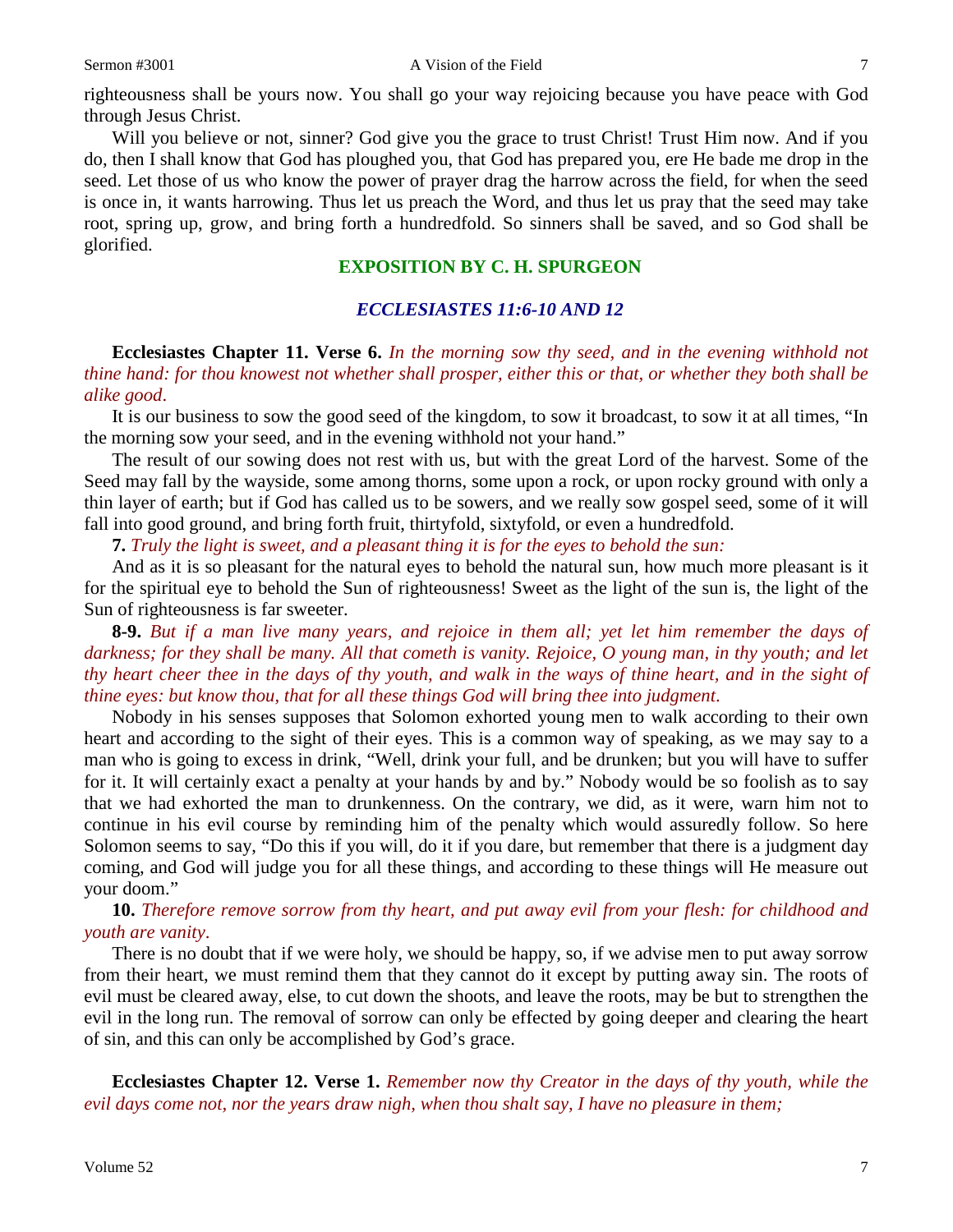righteousness shall be yours now. You shall go your way rejoicing because you have peace with God through Jesus Christ.

Will you believe or not, sinner? God give you the grace to trust Christ! Trust Him now. And if you do, then I shall know that God has ploughed you, that God has prepared you, ere He bade me drop in the seed. Let those of us who know the power of prayer drag the harrow across the field, for when the seed is once in, it wants harrowing. Thus let us preach the Word, and thus let us pray that the seed may take root, spring up, grow, and bring forth a hundredfold. So sinners shall be saved, and so God shall be glorified.

# **EXPOSITION BY C. H. SPURGEON**

## *ECCLESIASTES 11:6-10 AND 12*

**Ecclesiastes Chapter 11. Verse 6.** *In the morning sow thy seed, and in the evening withhold not thine hand: for thou knowest not whether shall prosper, either this or that, or whether they both shall be alike good*.

It is our business to sow the good seed of the kingdom, to sow it broadcast, to sow it at all times, "In the morning sow your seed, and in the evening withhold not your hand."

The result of our sowing does not rest with us, but with the great Lord of the harvest. Some of the Seed may fall by the wayside, some among thorns, some upon a rock, or upon rocky ground with only a thin layer of earth; but if God has called us to be sowers, and we really sow gospel seed, some of it will fall into good ground, and bring forth fruit, thirtyfold, sixtyfold, or even a hundredfold.

**7.** *Truly the light is sweet, and a pleasant thing it is for the eyes to behold the sun:*

And as it is so pleasant for the natural eyes to behold the natural sun, how much more pleasant is it for the spiritual eye to behold the Sun of righteousness! Sweet as the light of the sun is, the light of the Sun of righteousness is far sweeter.

**8-9.** *But if a man live many years, and rejoice in them all; yet let him remember the days of darkness; for they shall be many. All that cometh is vanity. Rejoice, O young man, in thy youth; and let thy heart cheer thee in the days of thy youth, and walk in the ways of thine heart, and in the sight of thine eyes: but know thou, that for all these things God will bring thee into judgment*.

Nobody in his senses supposes that Solomon exhorted young men to walk according to their own heart and according to the sight of their eyes. This is a common way of speaking, as we may say to a man who is going to excess in drink, "Well, drink your full, and be drunken; but you will have to suffer for it. It will certainly exact a penalty at your hands by and by." Nobody would be so foolish as to say that we had exhorted the man to drunkenness. On the contrary, we did, as it were, warn him not to continue in his evil course by reminding him of the penalty which would assuredly follow. So here Solomon seems to say, "Do this if you will, do it if you dare, but remember that there is a judgment day coming, and God will judge you for all these things, and according to these things will He measure out your doom."

### **10.** *Therefore remove sorrow from thy heart, and put away evil from your flesh: for childhood and youth are vanity*.

There is no doubt that if we were holy, we should be happy, so, if we advise men to put away sorrow from their heart, we must remind them that they cannot do it except by putting away sin. The roots of evil must be cleared away, else, to cut down the shoots, and leave the roots, may be but to strengthen the evil in the long run. The removal of sorrow can only be effected by going deeper and clearing the heart of sin, and this can only be accomplished by God's grace.

**Ecclesiastes Chapter 12. Verse 1.** *Remember now thy Creator in the days of thy youth, while the evil days come not, nor the years draw nigh, when thou shalt say, I have no pleasure in them;*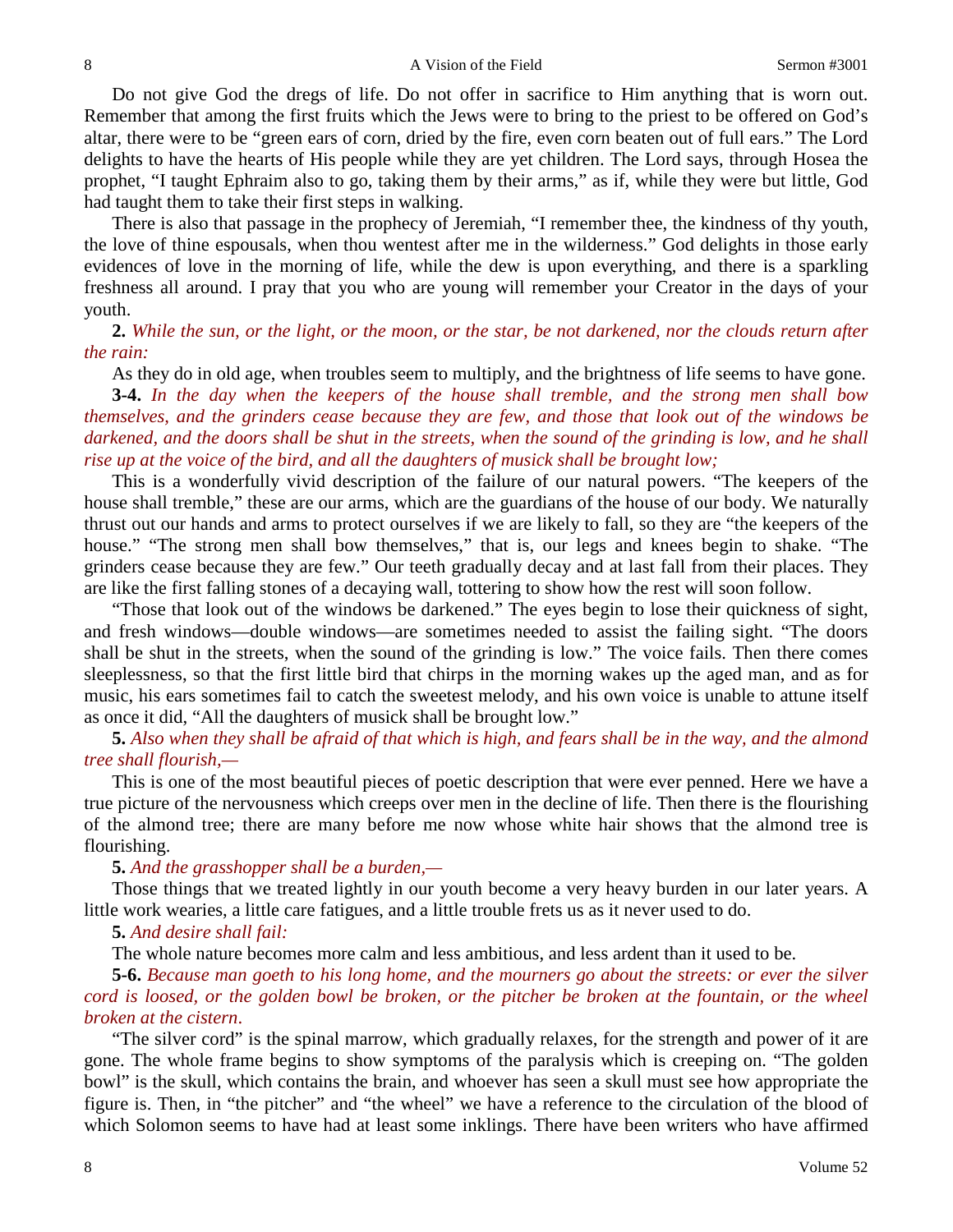Do not give God the dregs of life. Do not offer in sacrifice to Him anything that is worn out. Remember that among the first fruits which the Jews were to bring to the priest to be offered on God's altar, there were to be "green ears of corn, dried by the fire, even corn beaten out of full ears." The Lord delights to have the hearts of His people while they are yet children. The Lord says, through Hosea the prophet, "I taught Ephraim also to go, taking them by their arms," as if, while they were but little, God had taught them to take their first steps in walking.

There is also that passage in the prophecy of Jeremiah, "I remember thee, the kindness of thy youth, the love of thine espousals, when thou wentest after me in the wilderness." God delights in those early evidences of love in the morning of life, while the dew is upon everything, and there is a sparkling freshness all around. I pray that you who are young will remember your Creator in the days of your youth.

**2.** *While the sun, or the light, or the moon, or the star, be not darkened, nor the clouds return after the rain:*

As they do in old age, when troubles seem to multiply, and the brightness of life seems to have gone.

**3-4.** *In the day when the keepers of the house shall tremble, and the strong men shall bow themselves, and the grinders cease because they are few, and those that look out of the windows be darkened, and the doors shall be shut in the streets, when the sound of the grinding is low, and he shall rise up at the voice of the bird, and all the daughters of musick shall be brought low;*

This is a wonderfully vivid description of the failure of our natural powers. "The keepers of the house shall tremble," these are our arms, which are the guardians of the house of our body. We naturally thrust out our hands and arms to protect ourselves if we are likely to fall, so they are "the keepers of the house." "The strong men shall bow themselves," that is, our legs and knees begin to shake. "The grinders cease because they are few." Our teeth gradually decay and at last fall from their places. They are like the first falling stones of a decaying wall, tottering to show how the rest will soon follow.

"Those that look out of the windows be darkened." The eyes begin to lose their quickness of sight, and fresh windows—double windows—are sometimes needed to assist the failing sight. "The doors shall be shut in the streets, when the sound of the grinding is low." The voice fails. Then there comes sleeplessness, so that the first little bird that chirps in the morning wakes up the aged man, and as for music, his ears sometimes fail to catch the sweetest melody, and his own voice is unable to attune itself as once it did, "All the daughters of musick shall be brought low."

**5.** *Also when they shall be afraid of that which is high, and fears shall be in the way, and the almond tree shall flourish,—*

This is one of the most beautiful pieces of poetic description that were ever penned. Here we have a true picture of the nervousness which creeps over men in the decline of life. Then there is the flourishing of the almond tree; there are many before me now whose white hair shows that the almond tree is flourishing.

**5.** *And the grasshopper shall be a burden,—*

Those things that we treated lightly in our youth become a very heavy burden in our later years. A little work wearies, a little care fatigues, and a little trouble frets us as it never used to do.

**5.** *And desire shall fail:*

The whole nature becomes more calm and less ambitious, and less ardent than it used to be.

**5-6.** *Because man goeth to his long home, and the mourners go about the streets: or ever the silver cord is loosed, or the golden bowl be broken, or the pitcher be broken at the fountain, or the wheel broken at the cistern*.

"The silver cord" is the spinal marrow, which gradually relaxes, for the strength and power of it are gone. The whole frame begins to show symptoms of the paralysis which is creeping on. "The golden bowl" is the skull, which contains the brain, and whoever has seen a skull must see how appropriate the figure is. Then, in "the pitcher" and "the wheel" we have a reference to the circulation of the blood of which Solomon seems to have had at least some inklings. There have been writers who have affirmed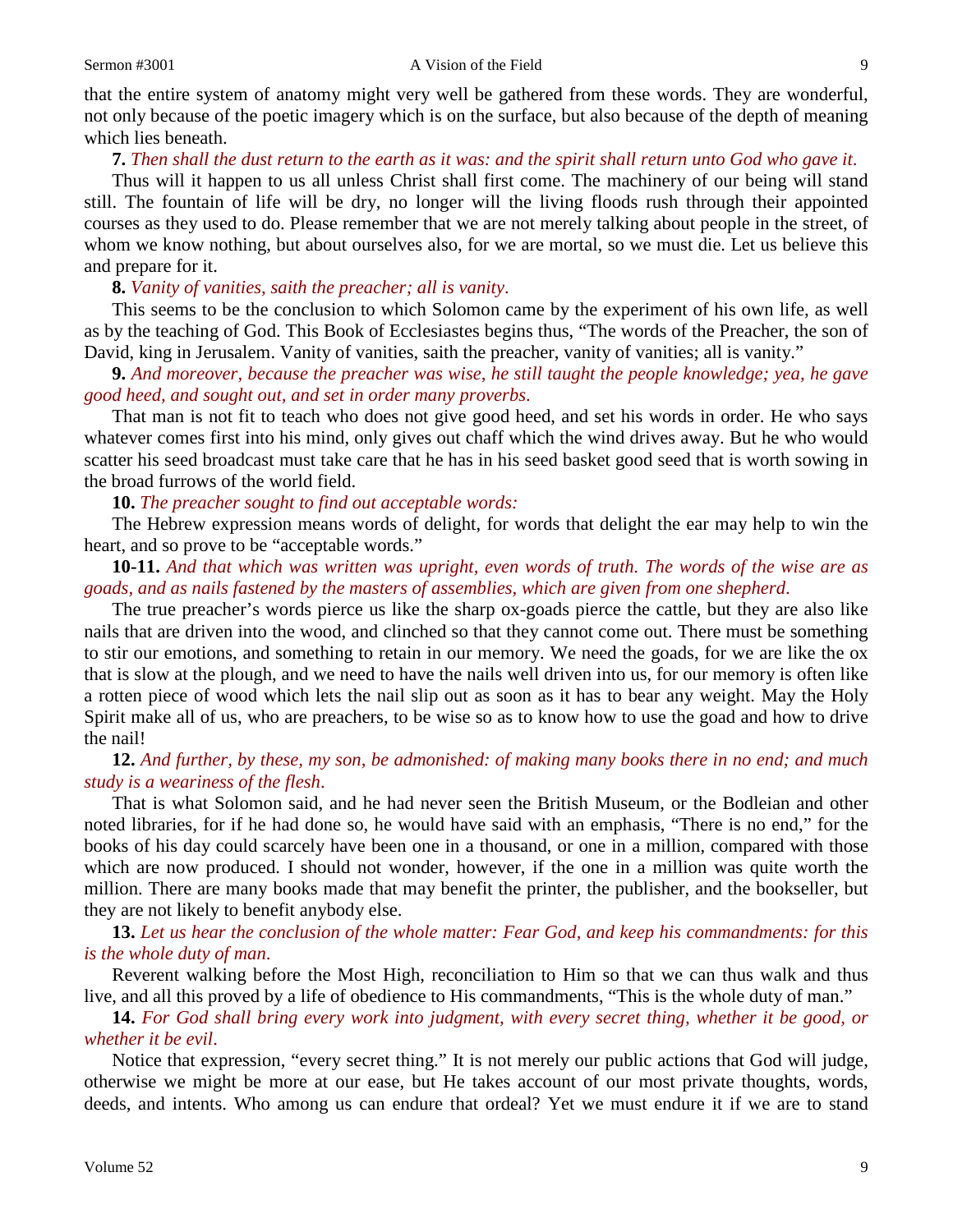that the entire system of anatomy might very well be gathered from these words. They are wonderful, not only because of the poetic imagery which is on the surface, but also because of the depth of meaning which lies beneath.

#### **7.** *Then shall the dust return to the earth as it was: and the spirit shall return unto God who gave it*.

Thus will it happen to us all unless Christ shall first come. The machinery of our being will stand still. The fountain of life will be dry, no longer will the living floods rush through their appointed courses as they used to do. Please remember that we are not merely talking about people in the street, of whom we know nothing, but about ourselves also, for we are mortal, so we must die. Let us believe this and prepare for it.

#### **8.** *Vanity of vanities, saith the preacher; all is vanity*.

This seems to be the conclusion to which Solomon came by the experiment of his own life, as well as by the teaching of God. This Book of Ecclesiastes begins thus, "The words of the Preacher, the son of David, king in Jerusalem. Vanity of vanities, saith the preacher, vanity of vanities; all is vanity."

**9.** *And moreover, because the preacher was wise, he still taught the people knowledge; yea, he gave good heed, and sought out, and set in order many proverbs*.

That man is not fit to teach who does not give good heed, and set his words in order. He who says whatever comes first into his mind, only gives out chaff which the wind drives away. But he who would scatter his seed broadcast must take care that he has in his seed basket good seed that is worth sowing in the broad furrows of the world field.

**10.** *The preacher sought to find out acceptable words:*

The Hebrew expression means words of delight, for words that delight the ear may help to win the heart, and so prove to be "acceptable words."

**10-11.** *And that which was written was upright, even words of truth. The words of the wise are as goads, and as nails fastened by the masters of assemblies, which are given from one shepherd*.

The true preacher's words pierce us like the sharp ox-goads pierce the cattle, but they are also like nails that are driven into the wood, and clinched so that they cannot come out. There must be something to stir our emotions, and something to retain in our memory. We need the goads, for we are like the ox that is slow at the plough, and we need to have the nails well driven into us, for our memory is often like a rotten piece of wood which lets the nail slip out as soon as it has to bear any weight. May the Holy Spirit make all of us, who are preachers, to be wise so as to know how to use the goad and how to drive the nail!

### **12.** *And further, by these, my son, be admonished: of making many books there in no end; and much study is a weariness of the flesh*.

That is what Solomon said, and he had never seen the British Museum, or the Bodleian and other noted libraries, for if he had done so, he would have said with an emphasis, "There is no end," for the books of his day could scarcely have been one in a thousand, or one in a million, compared with those which are now produced. I should not wonder, however, if the one in a million was quite worth the million. There are many books made that may benefit the printer, the publisher, and the bookseller, but they are not likely to benefit anybody else.

**13.** *Let us hear the conclusion of the whole matter: Fear God, and keep his commandments: for this is the whole duty of man*.

Reverent walking before the Most High, reconciliation to Him so that we can thus walk and thus live, and all this proved by a life of obedience to His commandments, "This is the whole duty of man."

**14.** *For God shall bring every work into judgment, with every secret thing, whether it be good, or whether it be evil*.

Notice that expression, "every secret thing." It is not merely our public actions that God will judge, otherwise we might be more at our ease, but He takes account of our most private thoughts, words, deeds, and intents. Who among us can endure that ordeal? Yet we must endure it if we are to stand